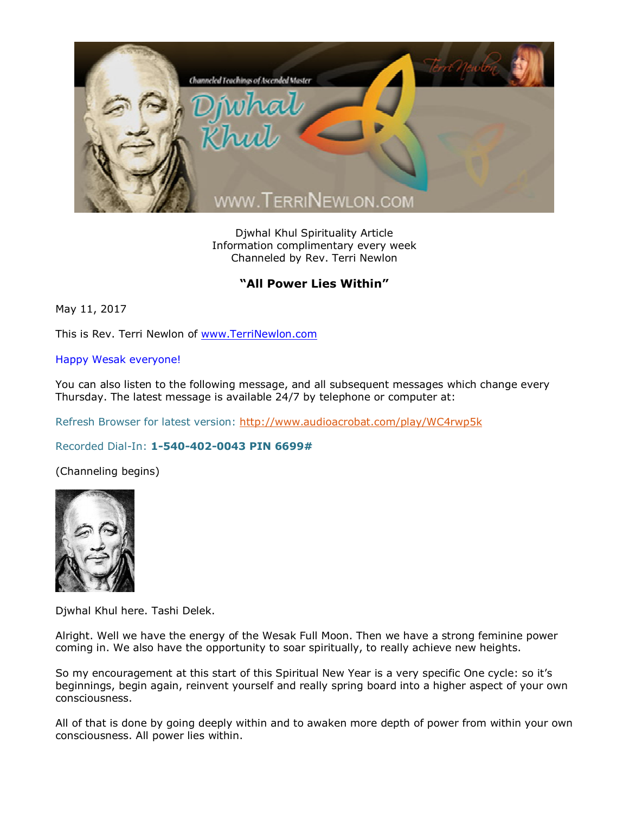

Djwhal Khul Spirituality Article Information complimentary every week Channeled by Rev. Terri Newlon

## **"All Power Lies Within"**

May 11, 2017

This is Rev. Terri Newlon of [www.TerriNewlon.com](http://www.terrinewlon.com/)

## Happy Wesak everyone!

You can also listen to the following message, and all subsequent messages which change every Thursday. The latest message is available 24/7 by telephone or computer at:

Refresh Browser for latest version: <http://www.audioacrobat.com/play/WC4rwp5k>

## Recorded Dial-In: **1-540-402-0043 PIN 6699#**

(Channeling begins)



Djwhal Khul here. Tashi Delek.

Alright. Well we have the energy of the Wesak Full Moon. Then we have a strong feminine power coming in. We also have the opportunity to soar spiritually, to really achieve new heights.

So my encouragement at this start of this Spiritual New Year is a very specific One cycle: so it's beginnings, begin again, reinvent yourself and really spring board into a higher aspect of your own consciousness.

All of that is done by going deeply within and to awaken more depth of power from within your own consciousness. All power lies within.